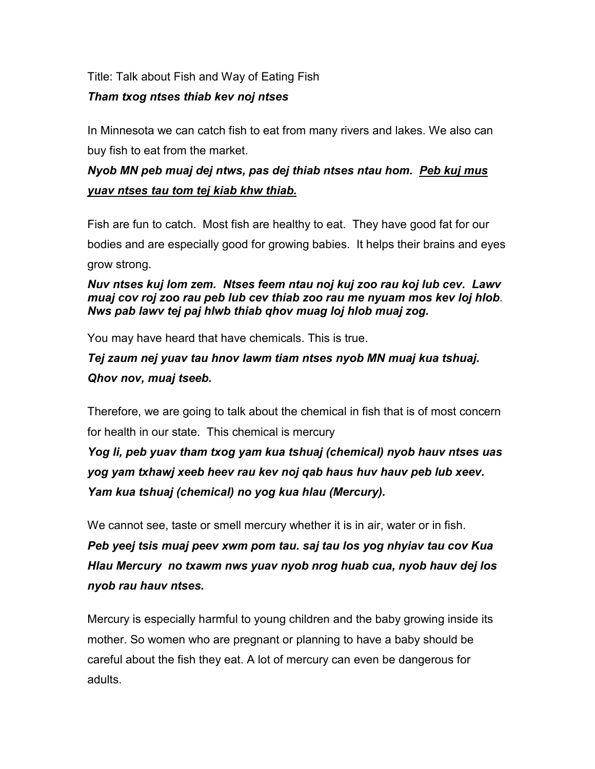Title: Talk about Fish and Way of Eating Fish

## *Tham txog ntses thiab kev noj ntses*

In Minnesota we can catch fish to eat from many rivers and lakes. We also can buy fish to eat from the market.

## *Nyob MN peb muaj dej ntws, pas dej thiab ntses ntau hom. Peb kuj mus yuav ntses tau tom tej kiab khw thiab.*

Fish are fun to catch. Most fish are healthy to eat. They have good fat for our bodies and are especially good for growing babies. It helps their brains and eyes grow strong.

## *Nuv ntses kuj lom zem. Ntses feem ntau noj kuj zoo rau koj lub cev. Lawv muaj cov roj zoo rau peb lub cev thiab zoo rau me nyuam mos kev loj hlob*. *Nws pab lawv tej paj hlwb thiab qhov muag loj hlob muaj zog.*

You may have heard that have chemicals. This is true.

# *Tej zaum nej yuav tau hnov lawm tiam ntses nyob MN muaj kua tshuaj. Qhov nov, muaj tseeb.*

Therefore, we are going to talk about the chemical in fish that is of most concern for health in our state. This chemical is mercury

*Yog li, peb yuav tham txog yam kua tshuaj (chemical) nyob hauv ntses uas yog yam txhawj xeeb heev rau kev noj qab haus huv hauv peb lub xeev. Yam kua tshuaj (chemical) no yog kua hlau (Mercury).*

We cannot see, taste or smell mercury whether it is in air, water or in fish.

*Peb yeej tsis muaj peev xwm pom tau. saj tau los yog nhyiav tau cov Kua Hlau Mercury no txawm nws yuav nyob nrog huab cua, nyob hauv dej los nyob rau hauv ntses.*

Mercury is especially harmful to young children and the baby growing inside its mother. So women who are pregnant or planning to have a baby should be careful about the fish they eat. A lot of mercury can even be dangerous for adults.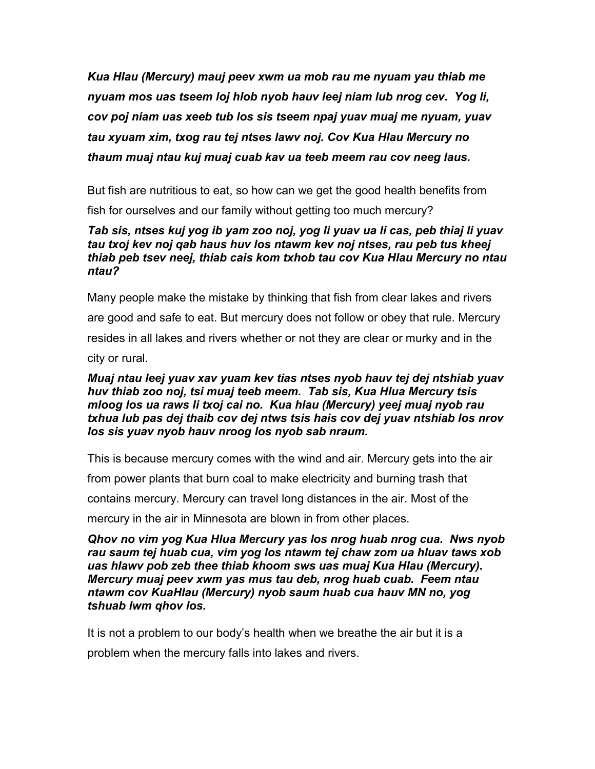*Kua Hlau (Mercury) mauj peev xwm ua mob rau me nyuam yau thiab me nyuam mos uas tseem loj hlob nyob hauv leej niam lub nrog cev. Yog li, cov poj niam uas xeeb tub los sis tseem npaj yuav muaj me nyuam, yuav tau xyuam xim, txog rau tej ntses lawv noj. Cov Kua Hlau Mercury no thaum muaj ntau kuj muaj cuab kav ua teeb meem rau cov neeg laus.*

But fish are nutritious to eat, so how can we get the good health benefits from

fish for ourselves and our family without getting too much mercury?

### *Tab sis, ntses kuj yog ib yam zoo noj, yog li yuav ua li cas, peb thiaj li yuav tau txoj kev noj qab haus huv los ntawm kev noj ntses, rau peb tus kheej thiab peb tsev neej, thiab cais kom txhob tau cov Kua Hlau Mercury no ntau ntau?*

Many people make the mistake by thinking that fish from clear lakes and rivers are good and safe to eat. But mercury does not follow or obey that rule. Mercury resides in all lakes and rivers whether or not they are clear or murky and in the city or rural.

## *Muaj ntau leej yuav xav yuam kev tias ntses nyob hauv tej dej ntshiab yuav huv thiab zoo noj, tsi muaj teeb meem. Tab sis, Kua Hlua Mercury tsis mloog los ua raws li txoj cai no. Kua hlau (Mercury) yeej muaj nyob rau txhua lub pas dej thaib cov dej ntws tsis hais cov dej yuav ntshiab los nrov los sis yuav nyob hauv nroog los nyob sab nraum.*

This is because mercury comes with the wind and air. Mercury gets into the air

from power plants that burn coal to make electricity and burning trash that

contains mercury. Mercury can travel long distances in the air. Most of the

mercury in the air in Minnesota are blown in from other places.

*Qhov no vim yog Kua Hlua Mercury yas los nrog huab nrog cua. Nws nyob rau saum tej huab cua, vim yog los ntawm tej chaw zom ua hluav taws xob uas hlawv pob zeb thee thiab khoom sws uas muaj Kua Hlau (Mercury). Mercury muaj peev xwm yas mus tau deb, nrog huab cuab. Feem ntau ntawm cov KuaHlau (Mercury) nyob saum huab cua hauv MN no, yog tshuab lwm qhov los.*

It is not a problem to our body's health when we breathe the air but it is a problem when the mercury falls into lakes and rivers.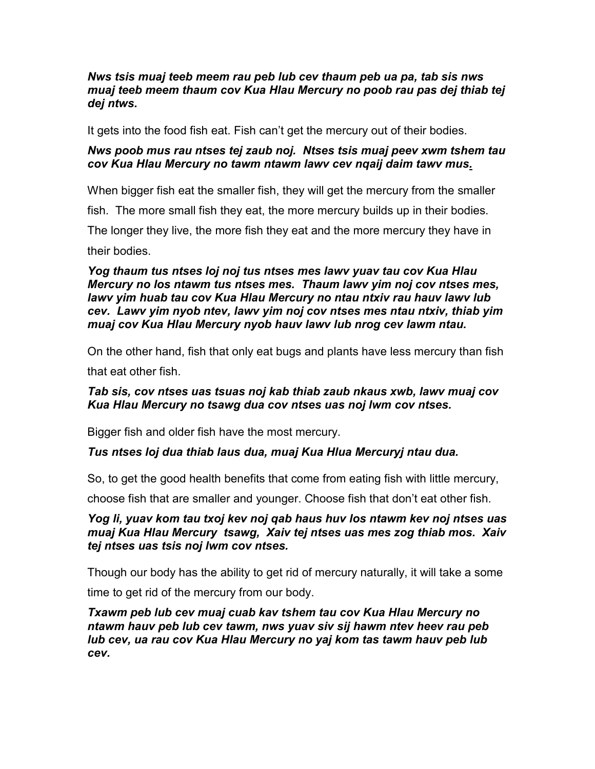### *Nws tsis muaj teeb meem rau peb lub cev thaum peb ua pa, tab sis nws muaj teeb meem thaum cov Kua Hlau Mercury no poob rau pas dej thiab tej dej ntws.*

It gets into the food fish eat. Fish can't get the mercury out of their bodies.

#### *Nws poob mus rau ntses tej zaub noj. Ntses tsis muaj peev xwm tshem tau cov Kua Hlau Mercury no tawm ntawm lawv cev nqaij daim tawv mus.*

When bigger fish eat the smaller fish, they will get the mercury from the smaller

fish. The more small fish they eat, the more mercury builds up in their bodies.

The longer they live, the more fish they eat and the more mercury they have in

their bodies.

*Yog thaum tus ntses loj noj tus ntses mes lawv yuav tau cov Kua Hlau Mercury no los ntawm tus ntses mes. Thaum lawv yim noj cov ntses mes, lawv yim huab tau cov Kua Hlau Mercury no ntau ntxiv rau hauv lawv lub cev. Lawv yim nyob ntev, lawv yim noj cov ntses mes ntau ntxiv, thiab yim muaj cov Kua Hlau Mercury nyob hauv lawv lub nrog cev lawm ntau.*

On the other hand, fish that only eat bugs and plants have less mercury than fish

that eat other fish.

### *Tab sis, cov ntses uas tsuas noj kab thiab zaub nkaus xwb, lawv muaj cov Kua Hlau Mercury no tsawg dua cov ntses uas noj lwm cov ntses.*

Bigger fish and older fish have the most mercury.

### *Tus ntses loj dua thiab laus dua, muaj Kua Hlua Mercuryj ntau dua.*

So, to get the good health benefits that come from eating fish with little mercury,

choose fish that are smaller and younger. Choose fish that don't eat other fish.

*Yog li, yuav kom tau txoj kev noj qab haus huv los ntawm kev noj ntses uas muaj Kua Hlau Mercury tsawg, Xaiv tej ntses uas mes zog thiab mos. Xaiv tej ntses uas tsis noj lwm cov ntses.*

Though our body has the ability to get rid of mercury naturally, it will take a some time to get rid of the mercury from our body.

*Txawm peb lub cev muaj cuab kav tshem tau cov Kua Hlau Mercury no ntawm hauv peb lub cev tawm, nws yuav siv sij hawm ntev heev rau peb lub cev, ua rau cov Kua Hlau Mercury no yaj kom tas tawm hauv peb lub cev.*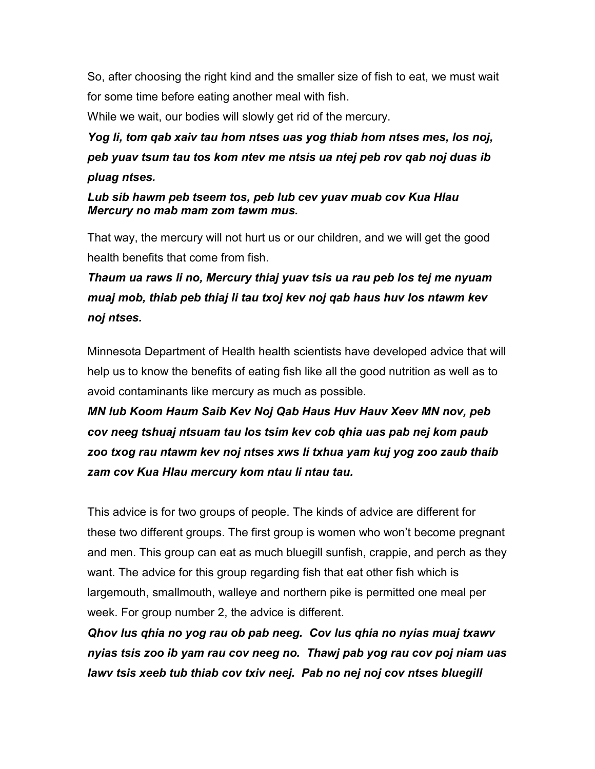So, after choosing the right kind and the smaller size of fish to eat, we must wait for some time before eating another meal with fish.

While we wait, our bodies will slowly get rid of the mercury.

*Yog li, tom qab xaiv tau hom ntses uas yog thiab hom ntses mes, los noj, peb yuav tsum tau tos kom ntev me ntsis ua ntej peb rov qab noj duas ib pluag ntses.*

*Lub sib hawm peb tseem tos, peb lub cev yuav muab cov Kua Hlau Mercury no mab mam zom tawm mus.*

That way, the mercury will not hurt us or our children, and we will get the good health benefits that come from fish.

*Thaum ua raws li no, Mercury thiaj yuav tsis ua rau peb los tej me nyuam muaj mob, thiab peb thiaj li tau txoj kev noj qab haus huv los ntawm kev noj ntses.*

Minnesota Department of Health health scientists have developed advice that will help us to know the benefits of eating fish like all the good nutrition as well as to avoid contaminants like mercury as much as possible.

*MN lub Koom Haum Saib Kev Noj Qab Haus Huv Hauv Xeev MN nov, peb cov neeg tshuaj ntsuam tau los tsim kev cob qhia uas pab nej kom paub zoo txog rau ntawm kev noj ntses xws li txhua yam kuj yog zoo zaub thaib zam cov Kua Hlau mercury kom ntau li ntau tau.*

This advice is for two groups of people. The kinds of advice are different for these two different groups. The first group is women who won't become pregnant and men. This group can eat as much bluegill sunfish, crappie, and perch as they want. The advice for this group regarding fish that eat other fish which is largemouth, smallmouth, walleye and northern pike is permitted one meal per week. For group number 2, the advice is different.

*Qhov lus qhia no yog rau ob pab neeg. Cov lus qhia no nyias muaj txawv nyias tsis zoo ib yam rau cov neeg no. Thawj pab yog rau cov poj niam uas lawv tsis xeeb tub thiab cov txiv neej. Pab no nej noj cov ntses bluegill*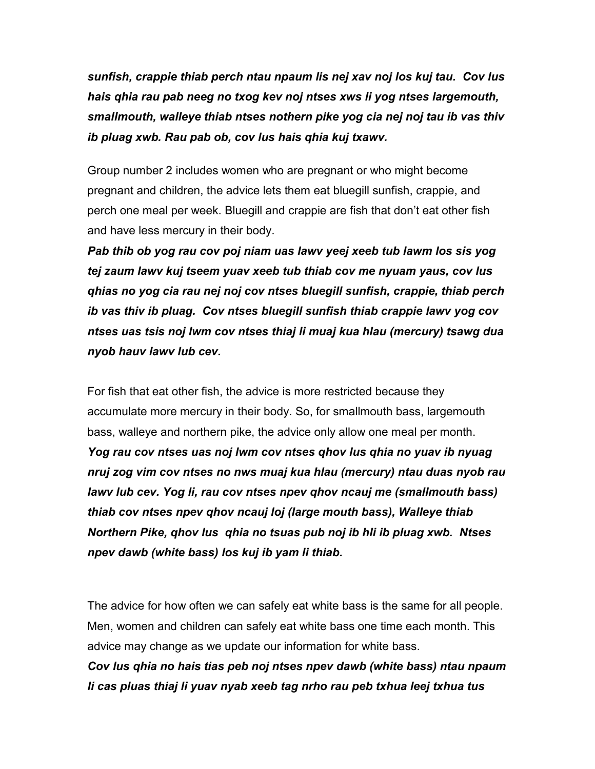*sunfish, crappie thiab perch ntau npaum lis nej xav noj los kuj tau. Cov lus hais qhia rau pab neeg no txog kev noj ntses xws li yog ntses largemouth, smallmouth, walleye thiab ntses nothern pike yog cia nej noj tau ib vas thiv ib pluag xwb. Rau pab ob, cov lus hais qhia kuj txawv.*

Group number 2 includes women who are pregnant or who might become pregnant and children, the advice lets them eat bluegill sunfish, crappie, and perch one meal per week. Bluegill and crappie are fish that don't eat other fish and have less mercury in their body.

*Pab thib ob yog rau cov poj niam uas lawv yeej xeeb tub lawm los sis yog tej zaum lawv kuj tseem yuav xeeb tub thiab cov me nyuam yaus, cov lus qhias no yog cia rau nej noj cov ntses bluegill sunfish, crappie, thiab perch ib vas thiv ib pluag. Cov ntses bluegill sunfish thiab crappie lawv yog cov ntses uas tsis noj lwm cov ntses thiaj li muaj kua hlau (mercury) tsawg dua nyob hauv lawv lub cev.* 

For fish that eat other fish, the advice is more restricted because they accumulate more mercury in their body. So, for smallmouth bass, largemouth bass, walleye and northern pike, the advice only allow one meal per month. *Yog rau cov ntses uas noj lwm cov ntses qhov lus qhia no yuav ib nyuag nruj zog vim cov ntses no nws muaj kua hlau (mercury) ntau duas nyob rau lawv lub cev. Yog li, rau cov ntses npev qhov ncauj me (smallmouth bass) thiab cov ntses npev qhov ncauj loj (large mouth bass), Walleye thiab Northern Pike, qhov lus qhia no tsuas pub noj ib hli ib pluag xwb. Ntses npev dawb (white bass) los kuj ib yam li thiab.* 

The advice for how often we can safely eat white bass is the same for all people. Men, women and children can safely eat white bass one time each month. This advice may change as we update our information for white bass.

*Cov lus qhia no hais tias peb noj ntses npev dawb (white bass) ntau npaum li cas pluas thiaj li yuav nyab xeeb tag nrho rau peb txhua leej txhua tus*